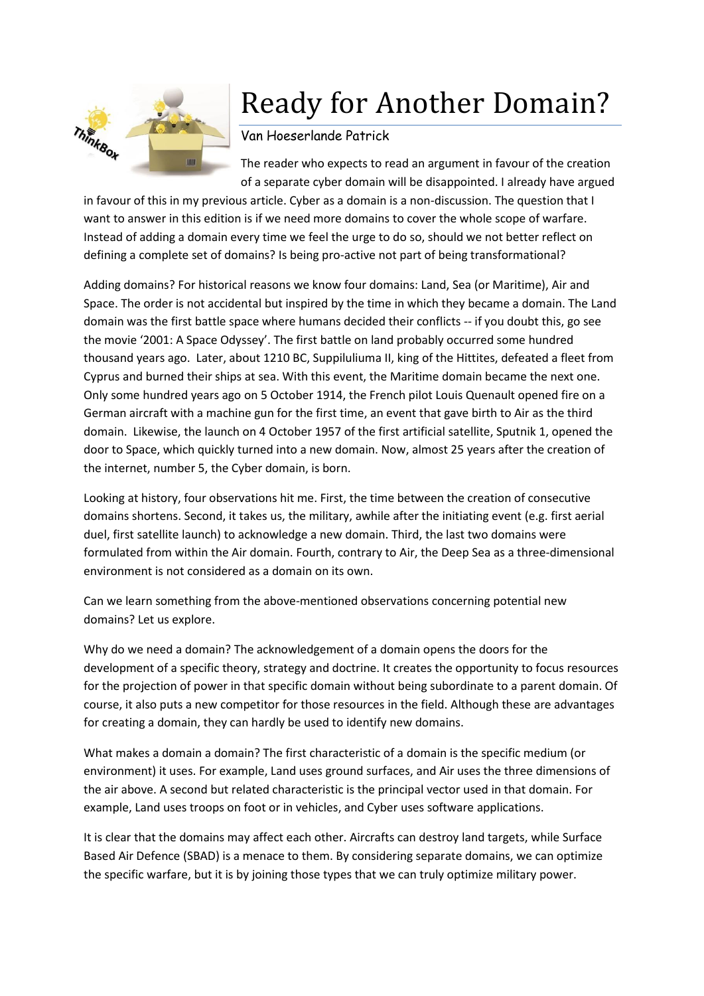

## Ready for Another Domain?

## Van Hoeserlande Patrick

The reader who expects to read an argument in favour of the creation of a separate cyber domain will be disappointed. I already have argued

in favour of this in my previous article. Cyber as a domain is a non-discussion. The question that I want to answer in this edition is if we need more domains to cover the whole scope of warfare. Instead of adding a domain every time we feel the urge to do so, should we not better reflect on defining a complete set of domains? Is being pro-active not part of being transformational?

Adding domains? For historical reasons we know four domains: Land, Sea (or Maritime), Air and Space. The order is not accidental but inspired by the time in which they became a domain. The Land domain was the first battle space where humans decided their conflicts -- if you doubt this, go see the movie '2001: A Space Odyssey'. The first battle on land probably occurred some hundred thousand years ago. Later, about 1210 BC, Suppiluliuma II, king of the Hittites, defeated a fleet from Cyprus and burned their ships at sea. With this event, the Maritime domain became the next one. Only some hundred years ago on 5 October 1914, the French pilot Louis Quenault opened fire on a German aircraft with a machine gun for the first time, an event that gave birth to Air as the third domain. Likewise, the launch on 4 October 1957 of the first artificial satellite, Sputnik 1, opened the door to Space, which quickly turned into a new domain. Now, almost 25 years after the creation of the internet, number 5, the Cyber domain, is born.

Looking at history, four observations hit me. First, the time between the creation of consecutive domains shortens. Second, it takes us, the military, awhile after the initiating event (e.g. first aerial duel, first satellite launch) to acknowledge a new domain. Third, the last two domains were formulated from within the Air domain. Fourth, contrary to Air, the Deep Sea as a three-dimensional environment is not considered as a domain on its own.

Can we learn something from the above-mentioned observations concerning potential new domains? Let us explore.

Why do we need a domain? The acknowledgement of a domain opens the doors for the development of a specific theory, strategy and doctrine. It creates the opportunity to focus resources for the projection of power in that specific domain without being subordinate to a parent domain. Of course, it also puts a new competitor for those resources in the field. Although these are advantages for creating a domain, they can hardly be used to identify new domains.

What makes a domain a domain? The first characteristic of a domain is the specific medium (or environment) it uses. For example, Land uses ground surfaces, and Air uses the three dimensions of the air above. A second but related characteristic is the principal vector used in that domain. For example, Land uses troops on foot or in vehicles, and Cyber uses software applications.

It is clear that the domains may affect each other. Aircrafts can destroy land targets, while Surface Based Air Defence (SBAD) is a menace to them. By considering separate domains, we can optimize the specific warfare, but it is by joining those types that we can truly optimize military power.